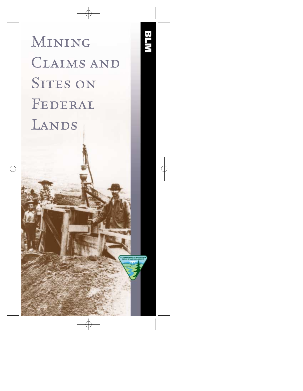

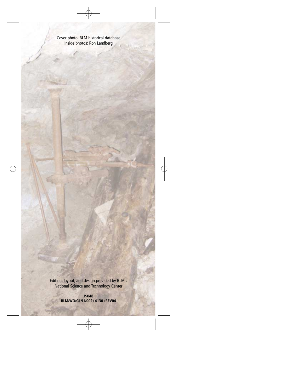Cover photo: BLM historical database Inside photos: Ron Landberg

Editing, layout, and design provided by BLM's National Science and Technology Center

> **P-048 BLM/WO/GI-91/002+4130+REV04**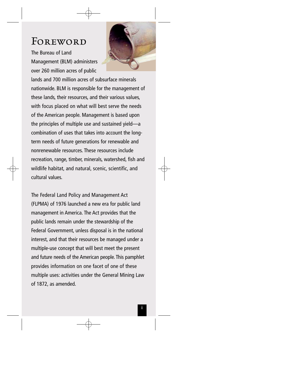## <span id="page-2-0"></span>FOREWORD

The Bureau of Land Management (BLM) administers over 260 million acres of public



lands and 700 million acres of subsurface minerals nationwide. BLM is responsible for the management of these lands, their resources, and their various values, with focus placed on what will best serve the needs of the American people. Management is based upon the principles of multiple use and sustained yield—a combination of uses that takes into account the longterm needs of future generations for renewable and nonrenewable resources. These resources include recreation, range, timber, minerals, watershed, fish and wildlife habitat, and natural, scenic, scientific, and cultural values.

The Federal Land Policy and Management Act (FLPMA) of 1976 launched a new era for public land management in America. The Act provides that the public lands remain under the stewardship of the Federal Government, unless disposal is in the national interest, and that their resources be managed under a multiple-use concept that will best meet the present and future needs of the American people. This pamphlet provides information on one facet of one of these multiple uses: activities under the General Mining Law of 1872, as amended.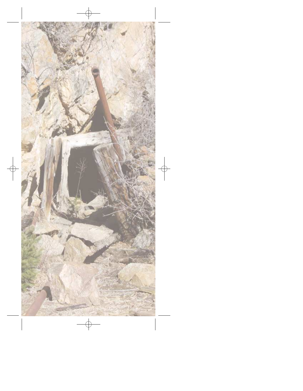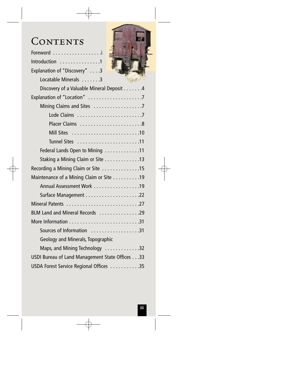# <span id="page-4-0"></span>**CONTENTS**

| Foreword i                                      |
|-------------------------------------------------|
| Introduction 1                                  |
| Explanation of "Discovery" 3                    |
| Locatable Minerals 3<br>SHE !!                  |
| Discovery of a Valuable Mineral Deposit 4       |
| Explanation of "Location" 7                     |
|                                                 |
|                                                 |
|                                                 |
|                                                 |
|                                                 |
| Federal Lands Open to Mining 11                 |
| Staking a Mining Claim or Site 13               |
| Recording a Mining Claim or Site 15             |
| Maintenance of a Mining Claim or Site 19        |
| Annual Assessment Work 19                       |
|                                                 |
|                                                 |
| BLM Land and Mineral Records 29                 |
|                                                 |
| Sources of Information 31                       |
| Geology and Minerals, Topographic               |
| Maps, and Mining Technology 32                  |
| USDI Bureau of Land Management State Offices 33 |
| USDA Forest Service Regional Offices 35         |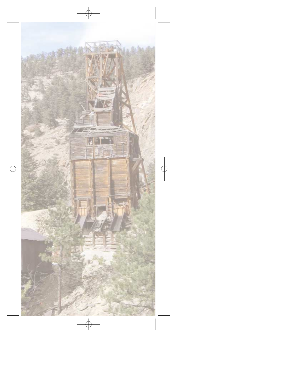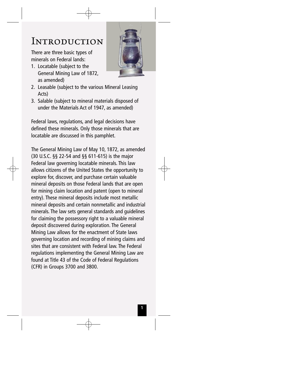# <span id="page-6-0"></span>[Introduction](#page-4-0)

There are three basic types of minerals on Federal lands:

1. Locatable (subject to the General Mining Law of 1872, as amended)



- 2. Leasable (subject to the various Mineral Leasing Acts)
- 3. Salable (subject to mineral materials disposed of under the Materials Act of 1947, as amended)

Federal laws, regulations, and legal decisions have defined these minerals. Only those minerals that are locatable are discussed in this pamphlet.

The General Mining Law of May 10, 1872, as amended (30 U.S.C. §§ 22-54 and §§ 611-615) is the major Federal law governing locatable minerals. This law allows citizens of the United States the opportunity to explore for, discover, and purchase certain valuable mineral deposits on those Federal lands that are open for mining claim location and patent (open to mineral entry). These mineral deposits include most metallic mineral deposits and certain nonmetallic and industrial minerals. The law sets general standards and guidelines for claiming the possessory right to a valuable mineral deposit discovered during exploration. The General Mining Law allows for the enactment of State laws governing location and recording of mining claims and sites that are consistent with Federal law. The Federal regulations implementing the General Mining Law are found at Title 43 of the Code of Federal Regulations (CFR) in Groups 3700 and 3800.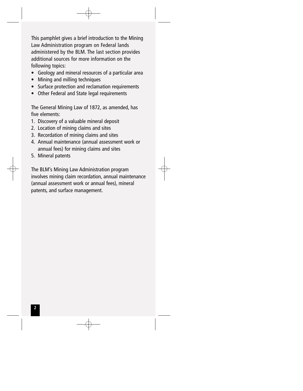This pamphlet gives a brief introduction to the Mining Law Administration program on Federal lands administered by the BLM. The last section provides additional sources for more information on the following topics:

- Geology and mineral resources of a particular area
- Mining and milling techniques
- Surface protection and reclamation requirements
- Other Federal and State legal requirements

The General Mining Law of 1872, as amended, has five elements:

- 1. Discovery of a valuable mineral deposit
- 2. Location of mining claims and sites
- 3. Recordation of mining claims and sites
- 4. Annual maintenance (annual assessment work or annual fees) for mining claims and sites
- 5. Mineral patents

The BLM's Mining Law Administration program involves mining claim recordation, annual maintenance (annual assessment work or annual fees), mineral patents, and surface management.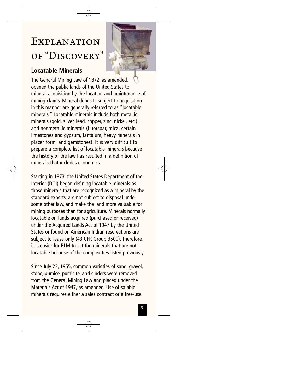## <span id="page-8-0"></span>Explanation [of "Discovery"](#page-4-0)

## **[Locatable Minerals](#page-4-0)**

The General Mining Law of 1872, as amended, opened the public lands of the United States to mineral acquisition by the location and maintenance of mining claims. Mineral deposits subject to acquisition in this manner are generally referred to as "locatable minerals." Locatable minerals include both metallic minerals (gold, silver, lead, copper, zinc, nickel, etc.) and nonmetallic minerals (fluorspar, mica, certain limestones and gypsum, tantalum, heavy minerals in placer form, and gemstones). It is very difficult to prepare a complete list of locatable minerals because the history of the law has resulted in a definition of minerals that includes economics.

Starting in 1873, the United States Department of the Interior (DOI) began defining locatable minerals as those minerals that are recognized as a mineral by the standard experts, are not subject to disposal under some other law, and make the land more valuable for mining purposes than for agriculture. Minerals normally locatable on lands acquired (purchased or received) under the Acquired Lands Act of 1947 by the United States or found on American Indian reservations are subject to lease only (43 CFR Group 3500). Therefore, it is easier for BLM to list the minerals that are not locatable because of the complexities listed previously.

Since July 23, 1955, common varieties of sand, gravel, stone, pumice, pumicite, and cinders were removed from the General Mining Law and placed under the Materials Act of 1947, as amended. Use of salable minerals requires either a sales contract or a free-use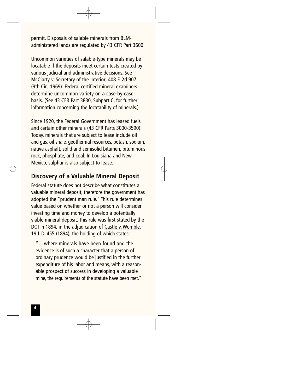<span id="page-9-0"></span>permit. Disposals of salable minerals from BLMadministered lands are regulated by 43 CFR Part 3600.

Uncommon varieties of salable-type minerals may be locatable if the deposits meet certain tests created by various judicial and administrative decisions. See McClarty v. Secretary of the Interior, 408 F. 2d 907 (9th Cir., 1969). Federal certified mineral examiners determine uncommon variety on a case-by-case basis. (See 43 CFR Part 3830, Subpart C, for further information concerning the locatability of minerals.)

Since 1920, the Federal Government has leased fuels and certain other minerals (43 CFR Parts 3000-3590). Today, minerals that are subject to lease include oil and gas, oil shale, geothermal resources, potash, sodium, native asphalt, solid and semisolid bitumen, bituminous rock, phosphate, and coal. In Louisiana and New Mexico, sulphur is also subject to lease.

### **[Discovery of a Valuable Mineral Deposit](#page-4-0)**

Federal statute does not describe what constitutes a valuable mineral deposit, therefore the government has adopted the "prudent man rule." This rule determines value based on whether or not a person will consider investing time and money to develop a potentially viable mineral deposit. This rule was first stated by the DOI in 1894, in the adjudication of Castle v. Womble, 19 L.D. 455 (1894), the holding of which states:

"…where minerals have been found and the evidence is of such a character that a person of ordinary prudence would be justified in the further expenditure of his labor and means, with a reasonable prospect of success in developing a valuable mine, the requirements of the statute have been met."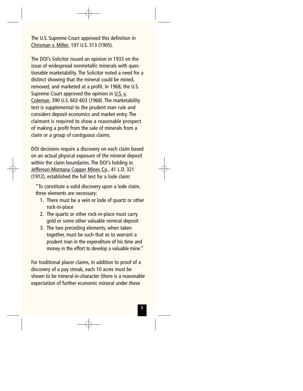The U.S. Supreme Court approved this definition in Chrisman v. Miller, 197 U.S. 313 (1905).

The DOI's Solicitor issued an opinion in 1933 on the issue of widespread nonmetallic minerals with questionable marketability. The Solicitor noted a need for a distinct showing that the mineral could be mined, removed, and marketed at a profit. In 1968, the U.S. Supreme Court approved the opinion in U.S. v. Coleman, 390 U.S. 602-603 (1968). The marketability test is supplemental to the prudent man rule and considers deposit economics and market entry. The claimant is required to show a reasonable prospect of making a profit from the sale of minerals from a claim or a group of contiguous claims.

DOI decisions require a discovery on each claim based on an actual physical exposure of the mineral deposit within the claim boundaries. The DOI's holding in Jefferson-Montana Copper Mines Co., 41 L.D. 321 (1912), established the full test for a lode claim:

"To constitute a valid discovery upon a lode claim, three elements are necessary:

- 1. There must be a vein or lode of quartz or other rock-in-place
- 2. The quartz or other rock-in-place must carry gold or some other valuable mineral deposit
- 3. The two preceding elements, when taken together, must be such that as to warrant a prudent man in the expenditure of his time and money in the effort to develop a valuable mine."

For traditional placer claims, in addition to proof of a discovery of a pay streak, each 10 acres must be shown to be mineral-in-character (there is a reasonable expectation of further economic mineral under these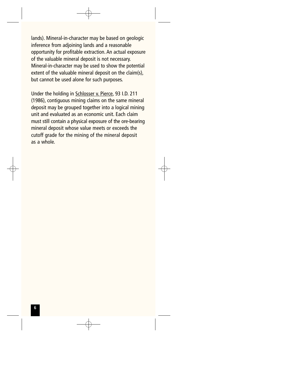lands). Mineral-in-character may be based on geologic inference from adjoining lands and a reasonable opportunity for profitable extraction. An actual exposure of the valuable mineral deposit is not necessary. Mineral-in-character may be used to show the potential extent of the valuable mineral deposit on the claim(s), but cannot be used alone for such purposes.

Under the holding in Schlosser v. Pierce, 93 I.D. 211 (1986), contiguous mining claims on the same mineral deposit may be grouped together into a logical mining unit and evaluated as an economic unit. Each claim must still contain a physical exposure of the ore-bearing mineral deposit whose value meets or exceeds the cutoff grade for the mining of the mineral deposit as a whole.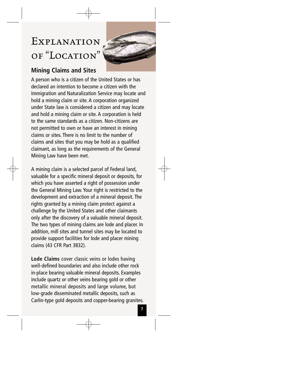# <span id="page-12-0"></span>[Explanation](#page-4-0)  of "Location"



## **Mining Claims and Sites**

A person who is a citizen of the United States or has declared an intention to become a citizen with the [Immigration and Naturalization Service may locate and](#page-4-0)  hold a mining claim or site. A corporation organized under State law is considered a citizen and may locate and hold a mining claim or site. A corporation is held to the same standards as a citizen. Non-citizens are not permitted to own or have an interest in mining claims or sites. There is no limit to the number of claims and sites that you may be hold as a qualified claimant, as long as the requirements of the General Mining Law have been met.

A mining claim is a selected parcel of Federal land, valuable for a specific mineral deposit or deposits, for which you have asserted a right of possession under the General Mining Law. Your right is restricted to the development and extraction of a mineral deposit. The rights granted by a mining claim protect against a challenge by the United States and other claimants only after the discovery of a valuable mineral deposit. The two types of mining claims are lode and placer. In addition, mill sites and tunnel sites may be located to provide support facilities for lode and placer mining claims (43 CFR Part 3832).

**Lode Claims** cover classic veins or lodes having well-defined boundaries and also include other rock in-place bearing valuable mineral deposits. Examples include quartz or other veins bearing gold or other metallic mineral deposits and large volume, but low-grade disseminated metallic deposits, such as Carlin-type gold deposits and copper-bearing granites.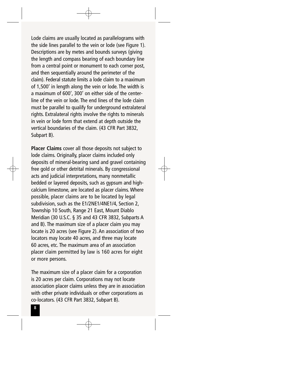<span id="page-13-0"></span>Lode claims are usually located as parallelograms with the side lines parallel to the vein or lode (see Figure 1). Descriptions are by metes and bounds surveys (giving the length and compass bearing of each boundary line from a central point or monument to each corner post, and then sequentially around the perimeter of the claim). Federal statute limits a lode claim to a maximum of 1,500' in length along the vein or lode. The width is a maximum of 600', 300' on either side of the centerline of the vein or lode. The end lines of the lode claim must be parallel to qualify for underground extralateral rights. Extralateral rights involve the rights to minerals in vein or lode form that extend at depth outside the vertical boundaries of the claim. (43 CFR Part 3832, Subpart B).

**Placer Claims** cover all those deposits not subject to lode claims. Originally, placer claims included only [deposits of mineral-bearing sand and gravel containing](#page-4-0)  free gold or other detrital minerals. By congressional acts and judicial interpretations, many nonmetallic bedded or layered deposits, such as gypsum and highcalcium limestone, are located as placer claims. Where possible, placer claims are to be located by legal subdivision, such as the E1/2NE1/4NE1/4, Section 2, Township 10 South, Range 21 East, Mount Diablo Meridian (30 U.S.C. § 35 and 43 CFR 3832, Subparts A and B). The maximum size of a placer claim you may locate is 20 acres (see Figure 2). An association of two locators may locate 40 acres, and three may locate 60 acres, etc. The maximum area of an association placer claim permitted by law is 160 acres for eight or more persons.

The maximum size of a placer claim for a corporation is 20 acres per claim. Corporations may not locate association placer claims unless they are in association with other private individuals or other corporations as co-locators. (43 CFR Part 3832, Subpart B).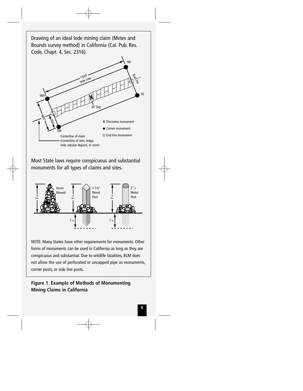

corner posts, or side line posts.

#### **Figure 1. Example of Methods of Monumenting Mining Claims in California**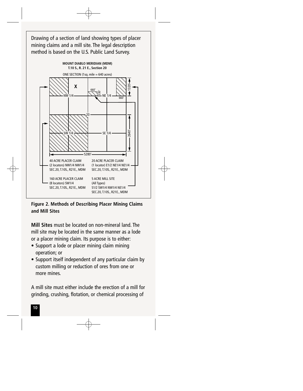<span id="page-15-0"></span>

**Figure 2. Methods of Describing Placer Mining Claims and Mill Sites** 

**Mill Sites** must be located on non-mineral land. The mill site may be located in the same manner as a lode or a placer mining claim. Its purpose is to either:

- Support a lode or placer mining claim mining operation; or
- [Support itself independent of any particular claim by](#page-4-0)  custom milling or reduction of ores from one or more mines.

A mill site must either include the erection of a mill for grinding, crushing, flotation, or chemical processing of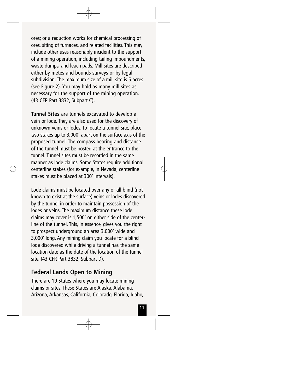<span id="page-16-0"></span>ores; or a reduction works for chemical processing of ores, siting of furnaces, and related facilities. This may include other uses reasonably incident to the support of a mining operation, including tailing impoundments, waste dumps, and leach pads. Mill sites are described either by metes and bounds surveys or by legal subdivision. The maximum size of a mill site is 5 acres (see Figure 2). You may hold as many mill sites as necessary for the support of the mining operation. (43 CFR Part 3832, Subpart C).

**Tunnel Sites** are tunnels excavated to develop a vein or lode. They are also used for the discovery of unknown veins or lodes. To locate a tunnel site, place [two stakes up to 3,000' apart on the surface axis of the](#page-4-0)  proposed tunnel. The compass bearing and distance of the tunnel must be posted at the entrance to the tunnel. Tunnel sites must be recorded in the same manner as lode claims. Some States require additional centerline stakes (for example, in Nevada, centerline stakes must be placed at 300' intervals).

Lode claims must be located over any or all blind (not known to exist at the surface) veins or lodes discovered by the tunnel in order to maintain possession of the lodes or veins. The maximum distance these lode claims may cover is 1,500' on either side of the centerline of the tunnel. This, in essence, gives you the right to prospect underground an area 3,000' wide and 3,000' long. Any mining claim you locate for a blind lode discovered while driving a tunnel has the same location date as the date of the location of the tunnel site. (43 CFR Part 3832, Subpart D).

## **Federal Lands Open to Mining**

There are 19 States where you may locate mining claims or sites. These States are Alaska, Alabama, [Arizona, Arkansas, California, Colorado, Florida, Idaho,](#page-4-0)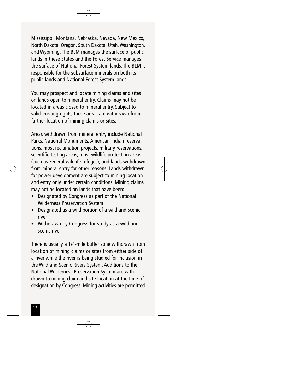Mississippi, Montana, Nebraska, Nevada, New Mexico, North Dakota, Oregon, South Dakota, Utah, Washington, and Wyoming. The BLM manages the surface of public lands in these States and the Forest Service manages the surface of National Forest System lands. The BLM is responsible for the subsurface minerals on both its public lands and National Forest System lands.

You may prospect and locate mining claims and sites on lands open to mineral entry. Claims may not be located in areas closed to mineral entry. Subject to valid existing rights, these areas are withdrawn from further location of mining claims or sites.

Areas withdrawn from mineral entry include National Parks, National Monuments, American Indian reservations, most reclamation projects, military reservations, scientific testing areas, most wildlife protection areas (such as Federal wildlife refuges), and lands withdrawn from mineral entry for other reasons. Lands withdrawn for power development are subject to mining location and entry only under certain conditions. Mining claims may not be located on lands that have been:

- Designated by Congress as part of the National Wilderness Preservation System
- Designated as a wild portion of a wild and scenic river
- Withdrawn by Congress for study as a wild and scenic river

There is usually a 1/4-mile buffer zone withdrawn from location of mining claims or sites from either side of a river while the river is being studied for inclusion in the Wild and Scenic Rivers System. Additions to the National Wilderness Preservation System are withdrawn to mining claim and site location at the time of designation by Congress. Mining activities are permitted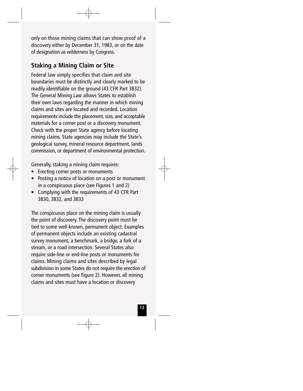<span id="page-18-0"></span>only on those mining claims that can show proof of a discovery either by December 31, 1983, or on the date of designation as wilderness by Congress.

## **Staking a Mining Claim or Site**

Federal law simply specifies that claim and site boundaries must be distinctly and clearly marked to be readily identifiable on the ground (43 CFR Part 3832). The General Mining Law allows States to establish their own laws regarding the manner in which mining claims and sites are located and recorded. Location requirements include the placement, size, and acceptable materials for a corner post or a discovery monument. Check with the proper State agency before locating mining claims. State agencies may include the State's geological survey, mineral resource department, lands [commission, or department of environmental protection.](#page-4-0) 

Generally, staking a mining claim requires:

- Erecting corner posts or monuments
- Posting a notice of location on a post or monument in a conspicuous place (see Figures 1 and 2)
- Complying with the requirements of 43 CFR Part 3830, 3832, and 3833

The conspicuous place on the mining claim is usually the point of discovery. The discovery point must be tied to some well-known, permanent object. Examples of permanent objects include an existing cadastral survey monument, a benchmark, a bridge, a fork of a stream, or a road intersection. Several States also require side-line or end-line posts or monuments for claims. Mining claims and sites described by legal subdivision in some States do not require the erection of corner monuments (see Figure 2). However, all mining claims and sites must have a location or discovery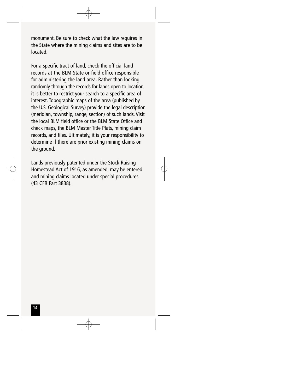monument. Be sure to check what the law requires in the State where the mining claims and sites are to be located.

For a specific tract of land, check the official land records at the BLM State or field office responsible for administering the land area. Rather than looking randomly through the records for lands open to location, it is better to restrict your search to a specific area of interest. Topographic maps of the area (published by the U.S. Geological Survey) provide the legal description (meridian, township, range, section) of such lands. Visit the local BLM field office or the BLM State Office and check maps, the BLM Master Title Plats, mining claim records, and files. Ultimately, it is your responsibility to determine if there are prior existing mining claims on the ground.

Lands previously patented under the Stock Raising Homestead Act of 1916, as amended, may be entered and mining claims located under special procedures (43 CFR Part 3838).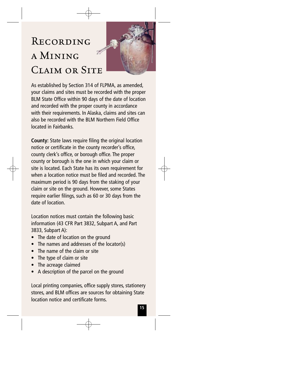## <span id="page-20-0"></span>Recording a Mining CLAIM OR SITE

As established by Section 314 of FLPMA, as amended, your claims and sites must be recorded with the proper BLM State Office within 90 days of the date of location and recorded with the proper county in accordance with their requirements. In Alaska, claims and sites can also be recorded with the BLM Northern Field Office located in Fairbanks.

**County:** State laws require filing the original location notice or certificate in the county recorder's office, county clerk's office, or borough office. The proper county or borough is the one in which your claim or site is located. Each State has its own requirement for when a location notice must be filed and recorded. The maximum period is 90 days from the staking of your claim or site on the ground. However, some States require earlier filings, such as 60 or 30 days from the date of location.

Location notices must contain the following basic information (43 CFR Part 3832, Subpart A, and Part 3833, Subpart A):

- The date of location on the ground
- The names and addresses of the locator(s)
- The name of the claim or site
- The type of claim or site
- The acreage claimed
- A description of the parcel on the ground

Local printing companies, office supply stores, stationery stores, and BLM offices are sources for obtaining State location notice and certificate forms.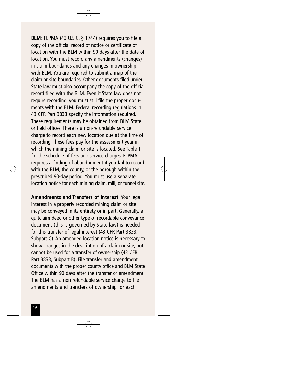**BLM:** FLPMA (43 U.S.C. § 1744) requires you to file a copy of the official record of notice or certificate of location with the BLM within 90 days after the date of location. You must record any amendments (changes) in claim boundaries and any changes in ownership with BLM. You are required to submit a map of the claim or site boundaries. Other documents filed under State law must also accompany the copy of the official record filed with the BLM. Even if State law does not require recording, you must still file the proper documents with the BLM. Federal recording regulations in 43 CFR Part 3833 specify the information required. These requirements may be obtained from BLM State or field offices. There is a non-refundable service charge to record each new location due at the time of recording. These fees pay for the assessment year in which the mining claim or site is located. See Table 1 for the schedule of fees and service charges. FLPMA requires a finding of abandonment if you fail to record with the BLM, the county, or the borough within the prescribed 90-day period. You must use a separate location notice for each mining claim, mill, or tunnel site.

**Amendments and Transfers of Interest:** Your legal interest in a properly recorded mining claim or site may be conveyed in its entirety or in part. Generally, a quitclaim deed or other type of recordable conveyance document (this is governed by State law) is needed for this transfer of legal interest (43 CFR Part 3833, Subpart C). An amended location notice is necessary to show changes in the description of a claim or site, but cannot be used for a transfer of ownership (43 CFR Part 3833, Subpart B). File transfer and amendment documents with the proper county office and BLM State Office within 90 days after the transfer or amendment. The BLM has a non-refundable service charge to file amendments and transfers of ownership for each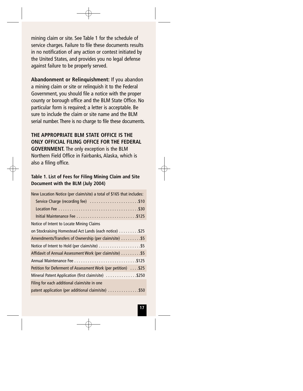mining claim or site. See Table 1 for the schedule of service charges. Failure to file these documents results in no notification of any action or contest initiated by the United States, and provides you no legal defense against failure to be properly served.

**Abandonment or Relinquishment:** If you abandon a mining claim or site or relinquish it to the Federal Government, you should file a notice with the proper county or borough office and the BLM State Office. No particular form is required; a letter is acceptable. Be sure to include the claim or site name and the BLM serial number. There is no charge to file these documents.

**THE APPROPRIATE BLM STATE OFFICE IS THE ONLY OFFICIAL FILING OFFICE FOR THE FEDERAL GOVERNMENT.** The only exception is the BLM Northern Field Office in Fairbanks, Alaska, which is also a filing office.

#### **Table 1. List of Fees for Filing Mining Claim and Site Document with the BLM (July 2004)**

| New Location Notice (per claim/site) a total of \$165 that includes: |
|----------------------------------------------------------------------|
| Service Charge (recording fee) \$10                                  |
|                                                                      |
|                                                                      |
| Notice of Intent to Locate Mining Claims                             |
| on Stockraising Homestead Act Lands (each notice) \$25               |
| Amendments/Transfers of Ownership (per claim/site) \$5               |
|                                                                      |
| Affidavit of Annual Assessment Work (per claim/site) \$5             |
|                                                                      |
| Petition for Deferment of Assessment Work (per petition) \$25        |
| Mineral Patent Application (first claim/site) \$250                  |
| Filing for each additional claim/site in one                         |
| patent application (per additional claim/site) \$50                  |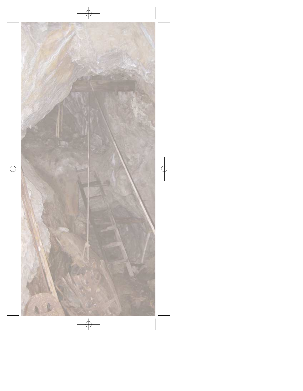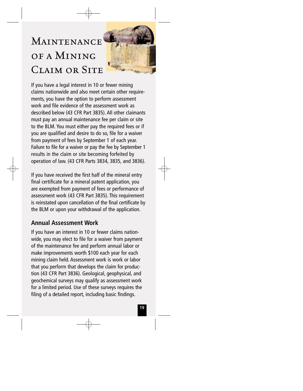## <span id="page-24-0"></span>Maintenance of a Mining CLAIM OR SITE



If you have a legal interest in 10 or fewer mining claims nationwide and also meet certain other requirements, you have the option to perform assessment work and file evidence of the assessment work as described below (43 CFR Part 3835). All other claimants must pay an annual maintenance fee per claim or site to the BLM. You must either pay the required fees or if you are qualified and desire to do so, file for a waiver from payment of fees by September 1 of each year. Failure to file for a waiver or pay the fee by September 1 results in the claim or site becoming forfeited by operation of law. (43 CFR Parts 3834, 3835, and 3836).

If you have received the first half of the mineral entry final certificate for a mineral patent application, you are exempted from payment of fees or performance of assessment work (43 CFR Part 3835). This requirement is reinstated upon cancellation of the final certificate by the BLM or upon your withdrawal of the application.

## **Annual Assessment Work**

If you have an interest in 10 or fewer claims nation[wide, you may elect to file for a waiver from payment](#page-4-0)  of the maintenance fee and perform annual labor or make improvements worth \$100 each year for each mining claim held. Assessment work is work or labor that you perform that develops the claim for production (43 CFR Part 3836). Geological, geophysical, and geochemical surveys may qualify as assessment work for a limited period. Use of these surveys requires the filing of a detailed report, including basic findings.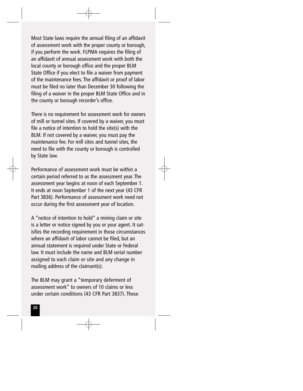Most State laws require the annual filing of an affidavit of assessment work with the proper county or borough, if you perform the work. FLPMA requires the filing of an affidavit of annual assessment work with both the local county or borough office and the proper BLM State Office if you elect to file a waiver from payment of the maintenance fees. The affidavit or proof of labor must be filed no later than December 30 following the filing of a waiver in the proper BLM State Office and in the county or borough recorder's office.

There is no requirement for assessment work for owners of mill or tunnel sites. If covered by a waiver, you must file a notice of intention to hold the site(s) with the BLM. If not covered by a waiver, you must pay the maintenance fee. For mill sites and tunnel sites, the need to file with the county or borough is controlled by State law.

Performance of assessment work must be within a certain period referred to as the assessment year. The assessment year begins at noon of each September 1. It ends at noon September 1 of the next year (43 CFR Part 3836). Performance of assessment work need not occur during the first assessment year of location.

A "notice of intention to hold" a mining claim or site is a letter or notice signed by you or your agent. It satisfies the recording requirement in those circumstances where an affidavit of labor cannot be filed, but an annual statement is required under State or Federal law. It must include the name and BLM serial number assigned to each claim or site and any change in mailing address of the claimant(s).

The BLM may grant a "temporary deferment of assessment work" to owners of 10 claims or less under certain conditions (43 CFR Part 3837). These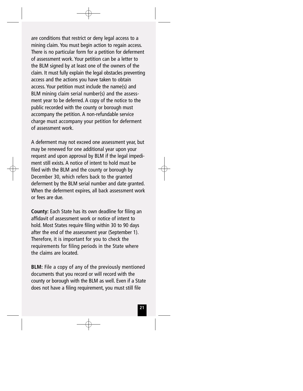are conditions that restrict or deny legal access to a mining claim. You must begin action to regain access. There is no particular form for a petition for deferment of assessment work. Your petition can be a letter to the BLM signed by at least one of the owners of the claim. It must fully explain the legal obstacles preventing access and the actions you have taken to obtain access. Your petition must include the name(s) and BLM mining claim serial number(s) and the assessment year to be deferred. A copy of the notice to the public recorded with the county or borough must accompany the petition. A non-refundable service charge must accompany your petition for deferment of assessment work.

A deferment may not exceed one assessment year, but may be renewed for one additional year upon your request and upon approval by BLM if the legal impediment still exists. A notice of intent to hold must be filed with the BLM and the county or borough by December 30, which refers back to the granted deferment by the BLM serial number and date granted. When the deferment expires, all back assessment work or fees are due.

**County:** Each State has its own deadline for filing an affidavit of assessment work or notice of intent to hold. Most States require filing within 30 to 90 days after the end of the assessment year (September 1). Therefore, it is important for you to check the requirements for filing periods in the State where the claims are located.

**BLM:** File a copy of any of the previously mentioned documents that you record or will record with the county or borough with the BLM as well. Even if a State does not have a filing requirement, you must still file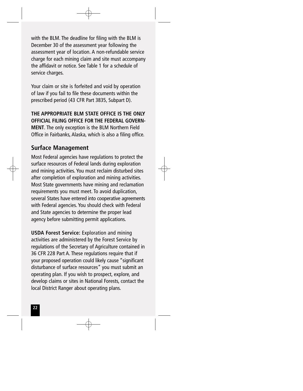<span id="page-27-0"></span>with the BLM. The deadline for filing with the BLM is December 30 of the assessment year following the assessment year of location. A non-refundable service charge for each mining claim and site must accompany the affidavit or notice. See Table 1 for a schedule of service charges.

Your claim or site is forfeited and void by operation of law if you fail to file these documents within the prescribed period (43 CFR Part 3835, Subpart D).

**THE APPROPRIATE BLM STATE OFFICE IS THE ONLY OFFICIAL FILING OFFICE FOR THE FEDERAL GOVERN-MENT**. The only exception is the BLM Northern Field Office in Fairbanks, Alaska, which is also a filing office.

### **Surface Management**

Most Federal agencies have regulations to protect the surface resources of Federal lands during exploration and mining activities. You must reclaim disturbed sites after completion of exploration and mining activities. Most State governments have mining and reclamation requirements you must meet. To avoid duplication, [several States have entered into cooperative agreements](#page-4-0)  with Federal agencies. You should check with Federal and State agencies to determine the proper lead agency before submitting permit applications.

**USDA Forest Service:** Exploration and mining activities are administered by the Forest Service by regulations of the Secretary of Agriculture contained in 36 CFR 228 Part A. These regulations require that if your proposed operation could likely cause "significant disturbance of surface resources" you must submit an operating plan. If you wish to prospect, explore, and develop claims or sites in National Forests, contact the local District Ranger about operating plans.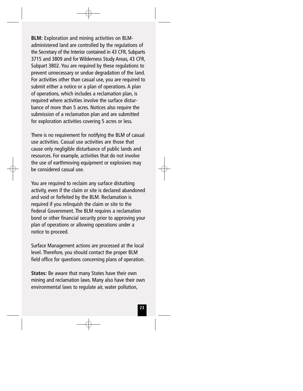**BLM:** Exploration and mining activities on BLMadministered land are controlled by the regulations of the Secretary of the Interior contained in 43 CFR, Subparts 3715 and 3809 and for Wilderness Study Areas, 43 CFR, Subpart 3802. You are required by these regulations to prevent unnecessary or undue degradation of the land. For activities other than casual use, you are required to submit either a notice or a plan of operations. A plan of operations, which includes a reclamation plan, is required where activities involve the surface disturbance of more than 5 acres. Notices also require the submission of a reclamation plan and are submitted for exploration activities covering 5 acres or less.

There is no requirement for notifying the BLM of casual use activities. Casual use activities are those that cause only negligible disturbance of public lands and resources. For example, activities that do not involve the use of earthmoving equipment or explosives may be considered casual use.

You are required to reclaim any surface disturbing activity, even if the claim or site is declared abandoned and void or forfeited by the BLM. Reclamation is required if you relinquish the claim or site to the Federal Government. The BLM requires a reclamation bond or other financial security prior to approving your plan of operations or allowing operations under a notice to proceed.

Surface Management actions are processed at the local level. Therefore, you should contact the proper BLM field office for questions concerning plans of operation.

**States:** Be aware that many States have their own mining and reclamation laws. Many also have their own environmental laws to regulate air, water pollution,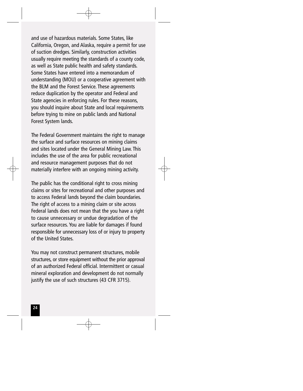and use of hazardous materials. Some States, like California, Oregon, and Alaska, require a permit for use of suction dredges. Similarly, construction activities usually require meeting the standards of a county code, as well as State public health and safety standards. Some States have entered into a memorandum of understanding (MOU) or a cooperative agreement with the BLM and the Forest Service. These agreements reduce duplication by the operator and Federal and State agencies in enforcing rules. For these reasons, you should inquire about State and local requirements before trying to mine on public lands and National Forest System lands.

The Federal Government maintains the right to manage the surface and surface resources on mining claims and sites located under the General Mining Law. This includes the use of the area for public recreational and resource management purposes that do not materially interfere with an ongoing mining activity.

The public has the conditional right to cross mining claims or sites for recreational and other purposes and to access Federal lands beyond the claim boundaries. The right of access to a mining claim or site across Federal lands does not mean that the you have a right to cause unnecessary or undue degradation of the surface resources. You are liable for damages if found responsible for unnecessary loss of or injury to property of the United States.

You may not construct permanent structures, mobile structures, or store equipment without the prior approval of an authorized Federal official. Intermittent or casual mineral exploration and development do not normally justify the use of such structures (43 CFR 3715).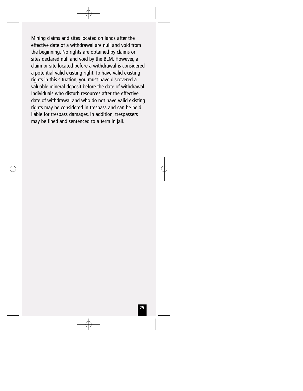Mining claims and sites located on lands after the effective date of a withdrawal are null and void from the beginning. No rights are obtained by claims or sites declared null and void by the BLM. However, a claim or site located before a withdrawal is considered a potential valid existing right. To have valid existing rights in this situation, you must have discovered a valuable mineral deposit before the date of withdrawal. Individuals who disturb resources after the effective date of withdrawal and who do not have valid existing rights may be considered in trespass and can be held liable for trespass damages. In addition, trespassers may be fined and sentenced to a term in jail.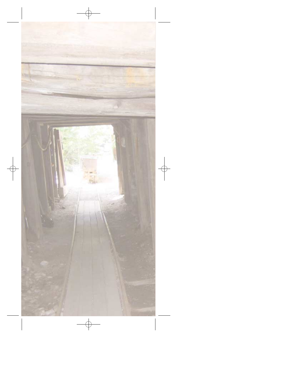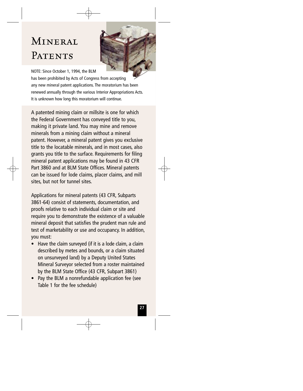## <span id="page-32-0"></span>[Mineral](#page-4-0) PATENTS



NOTE: Since October 1, 1994, the BLM

has been prohibited by Acts of Congress from accepting any new mineral patent applications. The moratorium has been renewed annually through the various Interior Appropriations Acts. It is unknown how long this moratorium will continue.

A patented mining claim or millsite is one for which the Federal Government has conveyed title to you, making it private land. You may mine and remove minerals from a mining claim without a mineral patent. However, a mineral patent gives you exclusive title to the locatable minerals, and in most cases, also grants you title to the surface. Requirements for filing mineral patent applications may be found in 43 CFR Part 3860 and at BLM State Offices. Mineral patents can be issued for lode claims, placer claims, and mill sites, but not for tunnel sites.

Applications for mineral patents (43 CFR, Subparts 3861-64) consist of statements, documentation, and proofs relative to each individual claim or site and require you to demonstrate the existence of a valuable mineral deposit that satisfies the prudent man rule and test of marketability or use and occupancy. In addition, you must:

- Have the claim surveyed (if it is a lode claim, a claim described by metes and bounds, or a claim situated on unsurveyed land) by a Deputy United States Mineral Surveyor selected from a roster maintained by the BLM State Office (43 CFR, Subpart 3861)
- Pay the BLM a nonrefundable application fee (see Table 1 for the fee schedule)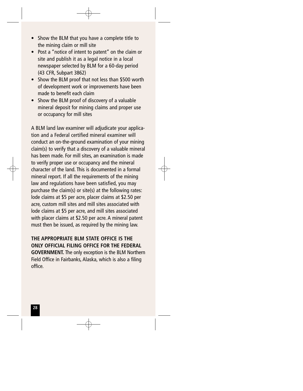- Show the BLM that you have a complete title to the mining claim or mill site
- Post a "notice of intent to patent" on the claim or site and publish it as a legal notice in a local newspaper selected by BLM for a 60-day period (43 CFR, Subpart 3862)
- Show the BLM proof that not less than \$500 worth of development work or improvements have been made to benefit each claim
- Show the BLM proof of discovery of a valuable mineral deposit for mining claims and proper use or occupancy for mill sites

A BLM land law examiner will adjudicate your application and a Federal certified mineral examiner will conduct an on-the-ground examination of your mining claim(s) to verify that a discovery of a valuable mineral has been made. For mill sites, an examination is made to verify proper use or occupancy and the mineral character of the land. This is documented in a formal mineral report. If all the requirements of the mining law and regulations have been satisfied, you may purchase the claim(s) or site(s) at the following rates: lode claims at \$5 per acre, placer claims at \$2.50 per acre, custom mill sites and mill sites associated with lode claims at \$5 per acre, and mill sites associated with placer claims at \$2.50 per acre. A mineral patent must then be issued, as required by the mining law.

**THE APPROPRIATE BLM STATE OFFICE IS THE ONLY OFFICIAL FILING OFFICE FOR THE FEDERAL GOVERNMENT.** The only exception is the BLM Northern Field Office in Fairbanks, Alaska, which is also a filing office.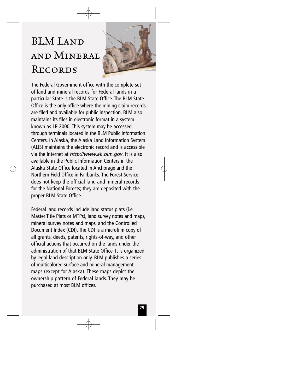## <span id="page-34-0"></span>BLM Land [and Mineral](#page-4-0) **RECORDS**



The Federal Government office with the complete set of land and mineral records for Federal lands in a particular State is the BLM State Office. The BLM State Office is the only office where the mining claim records are filed and available for public inspection. BLM also maintains its files in electronic format in a system known as LR 2000. This system may be accessed through terminals located in the BLM Public Information Centers. In Alaska, the Alaska Land Information System (ALIS) maintains the electronic record and is accessible via the Internet at *http://www.ak.blm.gov*. It is also available in the Public Information Centers in the Alaska State Office located in Anchorage and the Northern Field Office in Fairbanks. The Forest Service does not keep the official land and mineral records for the National Forests; they are deposited with the proper BLM State Office.

Federal land records include land status plats (i.e. Master Title Plats or MTPs), land survey notes and maps, mineral survey notes and maps, and the Controlled Document Index (CDI). The CDI is a microfilm copy of all grants, deeds, patents, rights-of-way, and other official actions that occurred on the lands under the administration of that BLM State Office. It is organized by legal land description only. BLM publishes a series of multicolored surface and mineral management maps (except for Alaska). These maps depict the ownership pattern of Federal lands. They may be purchased at most BLM offices.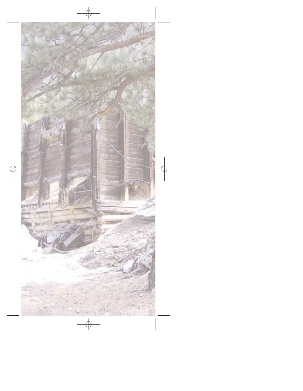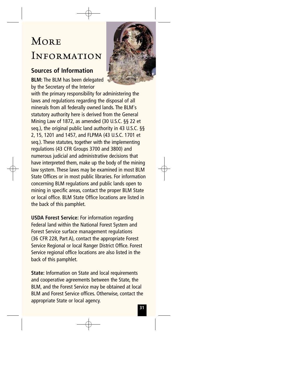## <span id="page-36-0"></span>**MORE** [Information](#page-4-0)

### **Sources of Information**

**BLM:** The BLM has been delegated by the Secretary of the Interior

with the primary responsibility for administering the laws and regulations regarding the disposal of all minerals from all federally owned lands. The BLM's statutory authority here is derived from the General Mining Law of 1872, as amended (30 U.S.C. §§ 22 et seq.), the original public land authority in 43 U.S.C. §§ 2, 15, 1201 and 1457, and FLPMA (43 U.S.C. 1701 et seq.). These statutes, together with the implementing regulations (43 CFR Groups 3700 and 3800) and numerous judicial and administrative decisions that have interpreted them, make up the body of the mining law system. These laws may be examined in most BLM [State Offices or in most public libraries. For information](#page-4-0)  concerning BLM regulations and public lands open to mining in specific areas, contact the proper BLM State or local office. BLM State Office locations are listed in the back of this pamphlet.

**USDA Forest Service:** For information regarding Federal land within the National Forest System and Forest Service surface management regulations (36 CFR 228, Part A), contact the appropriate Forest Service Regional or local Ranger District Office. Forest Service regional office locations are also listed in the back of this pamphlet.

**State:** Information on State and local requirements and cooperative agreements between the State, the BLM, and the Forest Service may be obtained at local BLM and Forest Service offices. Otherwise, contact the appropriate State or local agency.

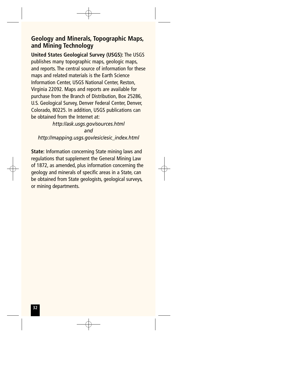### <span id="page-37-0"></span>**[Geology and Minerals, Topographic Maps,](#page-4-0)  and Mining Technology**

**United States Geological Survey (USGS):** The USGS publishes many topographic maps, geologic maps, and reports. The central source of information for these maps and related materials is the Earth Science Information Center, USGS National Center, Reston, Virginia 22092. Maps and reports are available for purchase from the Branch of Distribution, Box 25286, U.S. Geological Survey, Denver Federal Center, Denver, Colorado, 80225. In addition, USGS publications can be obtained from the Internet at:

*http://ask.usgs.gov/sources.html* 

*and* 

*http://mapping.usgs.gov/esic/esic\_index.html* 

**State:** Information concerning State mining laws and regulations that supplement the General Mining Law of 1872, as amended, plus information concerning the geology and minerals of specific areas in a State, can be obtained from State geologists, geological surveys, or mining departments.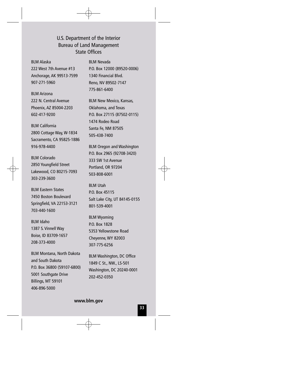#### <span id="page-38-0"></span>[U.S. Department of the Interior](#page-4-0)  Bureau of Land Management State Offices

BLM Alaska 222 West 7th Avenue #13 Anchorage, AK 99513-7599 907-271-5960

BLM Arizona 222 N. Central Avenue Phoenix, AZ 85004-2203 602-417-9200

BLM California 2800 Cottage Way, W-1834 Sacramento, CA 95825-1886 916-978-4400

BLM Colorado 2850 Youngfield Street Lakewood, CO 80215-7093 303-239-3600

BLM Eastern States 7450 Boston Boulevard Springfield, VA 22153-3121 703-440-1600

BLM Idaho 1387 S. Vinnell Way Boise, ID 83709-1657 208-373-4000

BLM Montana, North Dakota and South Dakota P.O. Box 36800 (59107-6800) 5001 Southgate Drive Billings, MT 59101 406-896-5000

BLM Nevada P.O. Box 12000 (89520-0006) 1340 Financial Blvd. Reno, NV 89502-7147 775-861-6400

BLM New Mexico, Kansas, Oklahoma, and Texas P.O. Box 27115 (87502-0115) 1474 Rodeo Road Santa Fe, NM 87505 505-438-7400

BLM Oregon and Washington P.O. Box 2965 (92708-3420) 333 SW 1st Avenue Portland, OR 97204 503-808-6001

BLM Utah P.O. Box 45115 Salt Lake City, UT 84145-0155 801-539-4001

BLM Wyoming P.O. Box 1828 5353 Yellowstone Road Cheyenne, WY 82003 307-775-6256

BLM Washington, DC Office 1849 C St., NW., LS-501 Washington, DC 20240-0001 202-452-0350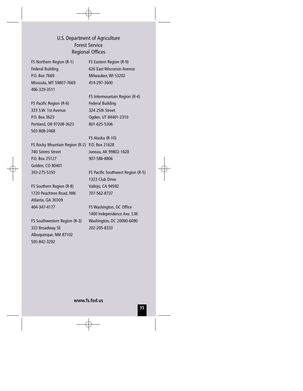#### <span id="page-40-0"></span>[U.S. Department of Agriculture](#page-4-0)  Forest Service Regional Offices

FS Northern Region (R-1) Federal Building P.O. Box 7669 Missoula, MT 59807-7669 406-329-3511

FS Pacific Region (R-6) 333 S.W. 1st Avenue P.O. Box 3623 Portland, OR 97208-3623 503-808-2468

FS Rocky Mountain Region (R-2) P.O. Box 21628 740 Simms Street P.O. Box 25127 Golden, CO 80401 303-275-5350

FS Southern Region (R-8) 1720 Peachtree Road, NW. Atlanta, GA 30309 404-347-4177

FS Southwestern Region (R-3) 333 Broadway SE Albuquerque, NM 87102 505-842-3292

FS Eastern Region (R-9) 626 East Wisconsin Avenue Milwaukee, WI 53202 414-297-3600

FS Intermountain Region (R-4) Federal Building 324 25th Street Ogden, UT 84401-2310 801-625-5306

FS Alaska (R-10) Juneau, AK 99802-1628 907-586-8806

FS Pacific Southwest Region (R-5) 1323 Club Drive Vallejo, CA 94592 707-562-8737

FS Washington, DC Office 1400 Independence Ave. S.W. Washington, DC 20090-6090 202-205-8333